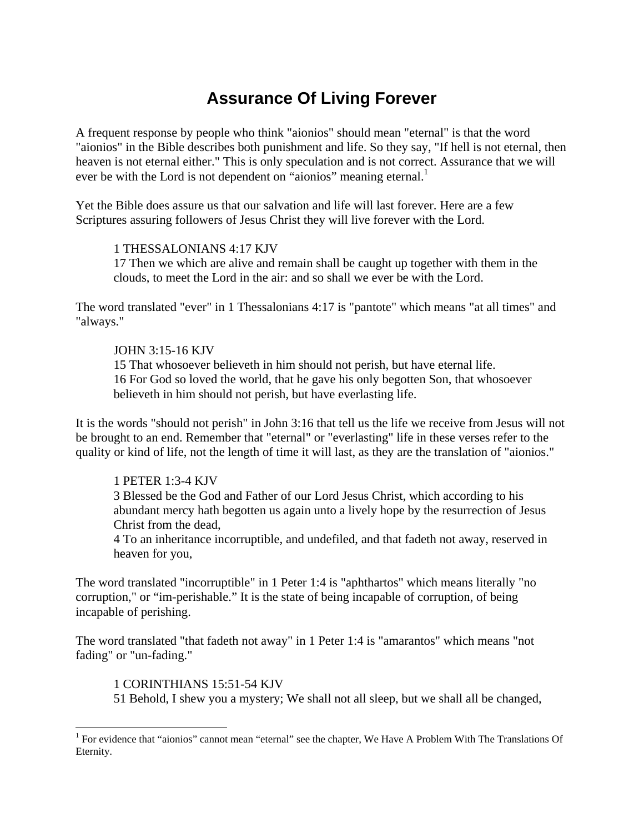# **Assurance Of Living Forever**

A frequent response by people who think "aionios" should mean "eternal" is that the word "aionios" in the Bible describes both punishment and life. So they say, "If hell is not eternal, then heaven is not eternal either." This is only speculation and is not correct. Assurance that we will ever be with the Lord is not dependent on "aionios" meaning eternal.<sup>1</sup>

Yet the Bible does assure us that our salvation and life will last forever. Here are a few Scriptures assuring followers of Jesus Christ they will live forever with the Lord.

### 1 THESSALONIANS 4:17 KJV

17 Then we which are alive and remain shall be caught up together with them in the clouds, to meet the Lord in the air: and so shall we ever be with the Lord.

The word translated "ever" in 1 Thessalonians 4:17 is "pantote" which means "at all times" and "always."

### JOHN 3:15-16 KJV

15 That whosoever believeth in him should not perish, but have eternal life. 16 For God so loved the world, that he gave his only begotten Son, that whosoever believeth in him should not perish, but have everlasting life.

It is the words "should not perish" in John 3:16 that tell us the life we receive from Jesus will not be brought to an end. Remember that "eternal" or "everlasting" life in these verses refer to the quality or kind of life, not the length of time it will last, as they are the translation of "aionios."

## 1 PETER 1:3-4 KJV

3 Blessed be the God and Father of our Lord Jesus Christ, which according to his abundant mercy hath begotten us again unto a lively hope by the resurrection of Jesus Christ from the dead,

4 To an inheritance incorruptible, and undefiled, and that fadeth not away, reserved in heaven for you,

The word translated "incorruptible" in 1 Peter 1:4 is "aphthartos" which means literally "no corruption," or "im-perishable." It is the state of being incapable of corruption, of being incapable of perishing.

The word translated "that fadeth not away" in 1 Peter 1:4 is "amarantos" which means "not fading" or "un-fading."

#### 1 CORINTHIANS 15:51-54 KJV

 $\overline{a}$ 

51 Behold, I shew you a mystery; We shall not all sleep, but we shall all be changed,

<sup>&</sup>lt;sup>1</sup> For evidence that "aionios" cannot mean "eternal" see the chapter, We Have A Problem With The Translations Of Eternity.